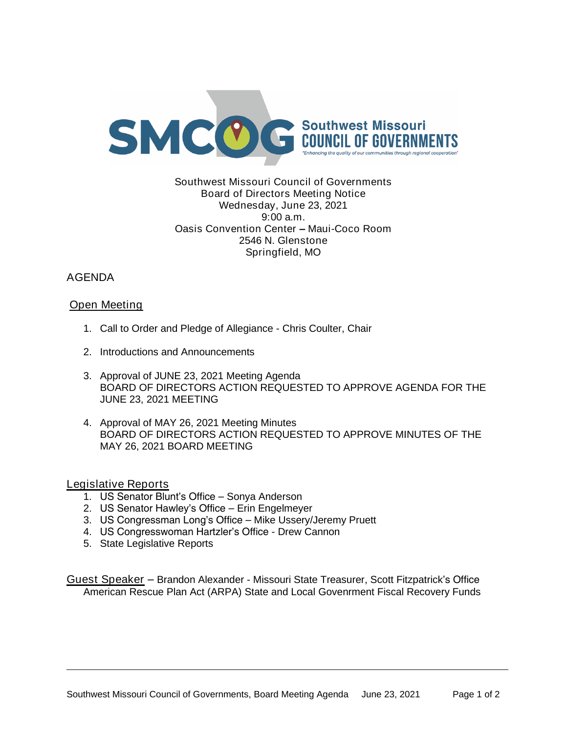

### Southwest Missouri Council of Governments Board of Directors Meeting Notice Wednesday, June 23, 2021 9:00 a.m. Oasis Convention Center – Maui-Coco Room 2546 N. Glenstone Springfield, MO

# AGENDA

## Open Meeting

- 1. Call to Order and Pledge of Allegiance Chris Coulter, Chair
- 2. Introductions and Announcements
- 3. Approval of JUNE 23, 2021 Meeting Agenda BOARD OF DIRECTORS ACTION REQUESTED TO APPROVE AGENDA FOR THE JUNE 23, 2021 MEETING
- 4. Approval of MAY 26, 2021 Meeting Minutes BOARD OF DIRECTORS ACTION REQUESTED TO APPROVE MINUTES OF THE MAY 26, 2021 BOARD MEETING

### Legislative Reports

- 1. US Senator Blunt's Office Sonya Anderson
- 2. US Senator Hawley's Office Erin Engelmeyer
- 3. US Congressman Long's Office Mike Ussery/Jeremy Pruett
- 4. US Congresswoman Hartzler's Office Drew Cannon
- 5. State Legislative Reports

Guest Speaker – Brandon Alexander - Missouri State Treasurer, Scott Fitzpatrick's Office American Rescue Plan Act (ARPA) State and Local Govenrment Fiscal Recovery Funds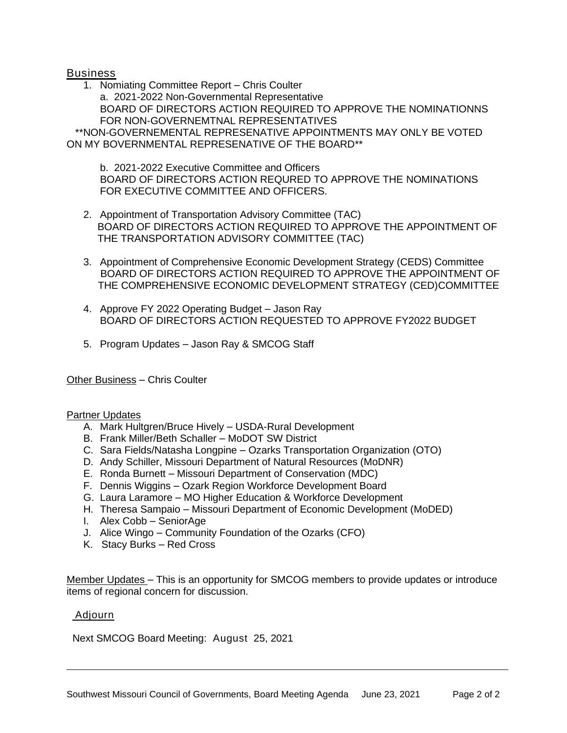### Business

1. Nomiating Committee Report – Chris Coulter a. 2021-2022 Non-Governmental Representative BOARD OF DIRECTORS ACTION REQUIRED TO APPROVE THE NOMINATIONNS FOR NON-GOVERNEMTNAL REPRESENTATIVES \*\*NON-GOVERNEMENTAL REPRESENATIVE APPOINTMENTS MAY ONLY BE VOTED ON MY BOVERNMENTAL REPRESENATIVE OF THE BOARD\*\*

b. 2021-2022 Executive Committee and Officers BOARD OF DIRECTORS ACTION REQURED TO APPROVE THE NOMINATIONS FOR EXECUTIVE COMMITTEE AND OFFICERS.

- 2. Appointment of Transportation Advisory Committee (TAC) BOARD OF DIRECTORS ACTION REQUIRED TO APPROVE THE APPOINTMENT OF THE TRANSPORTATION ADVISORY COMMITTEE (TAC)
- 3. Appointment of Comprehensive Economic Development Strategy (CEDS) Committee BOARD OF DIRECTORS ACTION REQUIRED TO APPROVE THE APPOINTMENT OF THE COMPREHENSIVE ECONOMIC DEVELOPMENT STRATEGY (CED)COMMITTEE
- 4. Approve FY 2022 Operating Budget Jason Ray BOARD OF DIRECTORS ACTION REQUESTED TO APPROVE FY2022 BUDGET
- 5. Program Updates Jason Ray & SMCOG Staff

Other Business – Chris Coulter

#### Partner Updates

- A. Mark Hultgren/Bruce Hively USDA-Rural Development
- B. Frank Miller/Beth Schaller MoDOT SW District
- C. Sara Fields/Natasha Longpine Ozarks Transportation Organization (OTO)
- D. Andy Schiller, Missouri Department of Natural Resources (MoDNR)
- E. Ronda Burnett Missouri Department of Conservation (MDC)
- F. Dennis Wiggins Ozark Region Workforce Development Board
- G. Laura Laramore MO Higher Education & Workforce Development
- H. Theresa Sampaio Missouri Department of Economic Development (MoDED)
- I. Alex Cobb SeniorAge
- J. Alice Wingo Community Foundation of the Ozarks (CFO)
- K. Stacy Burks Red Cross

Member Updates – This is an opportunity for SMCOG members to provide updates or introduce items of regional concern for discussion.

#### Adjourn

Next SMCOG Board Meeting: August 25, 2021